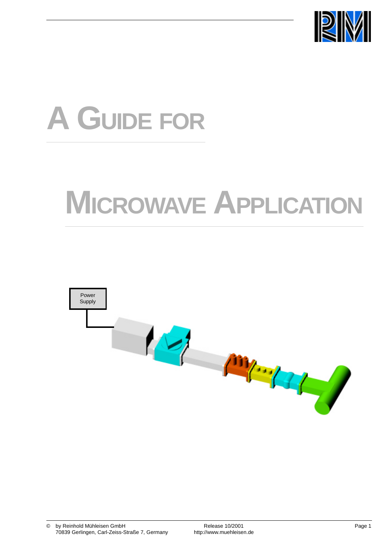

# **A GUIDE FOR**

## **MICROWAVE APPLICATION**

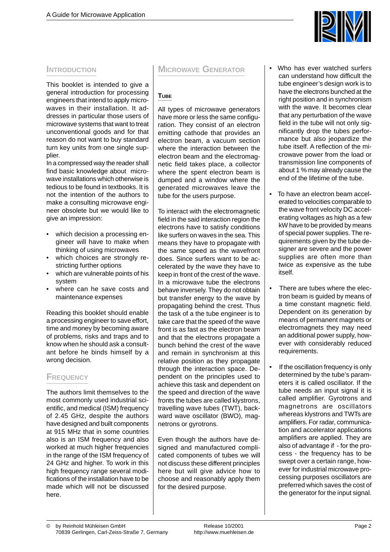

### **INTRODUCTION**

This booklet is intended to give a general introduction for processing engineers that intend to apply microwaves in their installation. It addresses in particular those users of microwave systems that want to treat unconventional goods and for that reason do not want to buy standard turn key units from one single supplier.

In a compressed way the reader shall find basic knowledge about microwave installations which otherwise is tedious to be found in textbooks. It is not the intention of the authors to make a consulting microwave engineer obsolete but we would like to give an impression:

- which decision a processing engineer will have to make when thinking of using microwaves
- which choices are strongly restricting further options
- which are vulnerable points of his system
- where can he save costs and maintenance expenses

Reading this booklet should enable a processing engineer to save effort, time and money by becoming aware of problems, risks and traps and to know when he should ask a consultant before he binds himself by a wrong decision.

## **FREQUENCY**

The authors limit themselves to the most commonly used industrial scientific, and medical (ISM) frequency of 2.45 GHz, despite the authors have designed and built components at 915 MHz that in some countries also is an ISM frequency and also worked at much higher frequencies in the range of the ISM frequency of 24 GHz and higher. To work in this high frequency range several modifications of the installation have to be made which will not be discussed here.

## **MICROWAVE GENERATOR**

## **TUBE**

All types of microwave generators have more or less the same configuration. They consist of an electron emitting cathode that provides an electron beam, a vacuum section where the interaction between the electron beam and the electromagnetic field takes place, a collector where the spent electron beam is dumped and a window where the generated microwaves leave the tube for the users purpose.

To interact with the electromagnetic field in the said interaction region the electrons have to satisfy conditions like surfers on waves in the sea. This means they have to propagate with the same speed as the wavefront does. Since surfers want to be accelerated by the wave they have to keep in front of the crest of the wave. In a microwave tube the electrons behave inversely. They do not obtain but transfer energy to the wave by propagating behind the crest. Thus the task of a the tube engineer is to take care that the speed of the wave front is as fast as the electron beam and that the electrons propagate a bunch behind the crest of the wave and remain in synchronism at this relative position as they propagate through the interaction space. Dependent on the principles used to achieve this task and dependent on the speed and direction of the wave fronts the tubes are called klystrons, travelling wave tubes (TWT), backward wave oscillator (BWO), magnetrons or gyrotrons.

Even though the authors have designed and manufactured complicated components of tubes we will not discuss these different principles here but will give advice how to choose and reasonably apply them for the desired purpose.

- Who has ever watched surfers can understand how difficult the tube engineer's design work is to have the electrons bunched at the right position and in synchronism with the wave. It becomes clear that any perturbation of the wave field in the tube will not only significantly drop the tubes performance but also jeopardize the tube itself. A reflection of the microwave power from the load or transmission line components of about 1 % may already cause the end of the lifetime of the tube.
- To have an electron beam accelerated to velocities comparable to the wave front velocity DC accelerating voltages as high as a few kW have to be provided by means of special power supplies. The requirements given by the tube designer are severe and the power supplies are often more than twice as expensive as the tube itself.
- There are tubes where the electron beam is guided by means of a time constant magnetic field. Dependent on its generation by means of permanent magnets or electromagnets they may need an additional power supply, however with considerably reduced requirements.
- If the oscillation frequency is only determined by the tube's parameters it is called oscillator. If the tube needs an input signal it is called amplifier. Gyrotrons and magnetrons are oscillators whereas klystrons and TWTs are amplifiers. For radar, communication and accelerator applications amplifiers are applied. They are also of advantage if - for the process - the frequency has to be swept over a certain range, however for industrial microwave processing purposes oscillators are preferred which saves the cost of the generator for the input signal.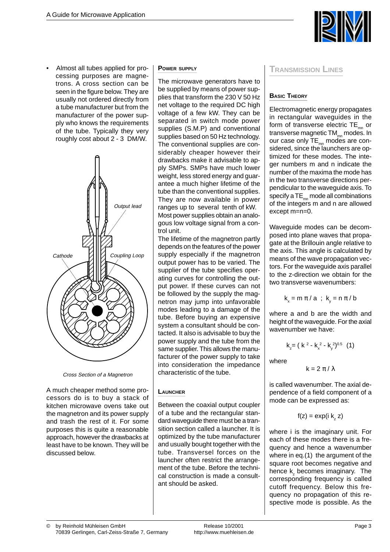

• Almost all tubes applied for processing purposes are magnetrons. A cross section can be seen in the figure below. They are usually not ordered directly from a tube manufacturer but from the manufacturer of the power supply who knows the requirements of the tube. Typically they very roughly cost about 2 - 3 DM/W.



Cross Section of a Magnetron

A much cheaper method some processors do is to buy a stack of kitchen microwave ovens take out the magnetron and its power supply and trash the rest of it. For some purposes this is quite a reasonable approach, however the drawbacks at least have to be known. They will be discussed below.

#### **POWER SUPPLY**

The microwave generators have to be supplied by means of power supplies that transform the 230 V 50 Hz net voltage to the required DC high voltage of a few kW. They can be separated in switch mode power supplies (S.M.P) and conventional supplies based on 50 Hz technology. The conventional supplies are considerably cheaper however their drawbacks make it advisable to apply SMPs. SMPs have much lower weight, less stored energy and guarantee a much higher lifetime of the tube than the conventional supplies. They are now available in power ranges up to several tenth of kW. Most power supplies obtain an analogous low voltage signal from a control unit.

The lifetime of the magnetron partly depends on the features of the power supply especially if the magnetron output power has to be varied. The supplier of the tube specifies operating curves for controlling the output power. If these curves can not be followed by the supply the magnetron may jump into unfavorable modes leading to a damage of the tube. Before buying an expensive system a consultant should be contacted. It also is advisable to buy the power supply and the tube from the same supplier. This allows the manufacturer of the power supply to take into consideration the impedance characteristic of the tube.

#### **LAUNCHER**

Between the coaxial output coupler of a tube and the rectangular standard waveguide there must be a transition section called a launcher. It is optimized by the tube manufacturer and usually bought together with the tube. Transversel forces on the launcher often restrict the arrangement of the tube. Before the technical construction is made a consultant should be asked.

#### **TRANSMISSION LINES**

## **BASIC THEORY**

Electromagnetic energy propagates in rectangular waveguides in the form of transverse electric  $TE_{mn}$  or transverse magnetic  $TM_{\text{max}}$  modes. In our case only  $TE_{mn}$  modes are considered, since the launchers are optimized for these modes. The integer numbers m and n indicate the number of the maxima the mode has in the two transverse directions perpendicular to the waveguide axis. To specify a  $TE_{mn}$  mode all combinations of the integers m and n are allowed except m=n=0.

Waveguide modes can be decomposed into plane waves that propagate at the Brillouin angle relative to the axis. This angle is calculated by means of the wave propagation vectors. For the waveguide axis parallel to the z-direction we obtain for the two transverse wavenumbers:

$$
k_x = m \pi / a
$$
;  $k_y = n \pi / b$ 

where a and b are the width and height of the waveguide. For the axial wavenumber we have:

$$
k_{z} = (k^{2} - k_{x}^{2} - k_{y}^{2})^{0.5} (1)
$$

where

 $k = 2 \pi / \lambda$ 

is called wavenumber. The axial dependence of a field component of a mode can be expressed as:

$$
f(z) = \exp(i k_z z)
$$

where i is the imaginary unit. For each of these modes there is a frequency and hence a wavenumber where in eq.(1) the argument of the square root becomes negative and hence k<sub>z</sub> becomes imaginary. The corresponding frequency is called cutoff frequency. Below this frequency no propagation of this respective mode is possible. As the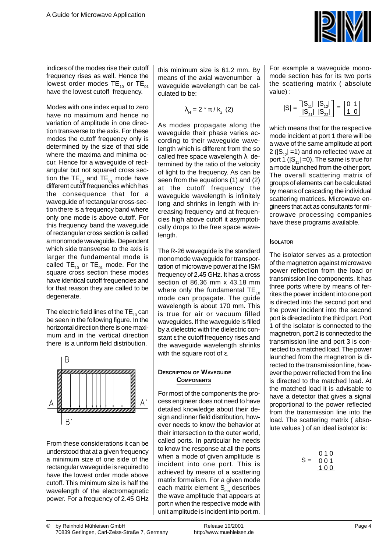

indices of the modes rise their cutoff frequency rises as well. Hence the lowest order modes  $TE_{10}$  or  $TE_{01}$ have the lowest cutoff frequency.

Modes with one index equal to zero have no maximum and hence no variation of amplitude in one direction transverse to the axis. For these modes the cutoff frequency only is determined by the size of that side where the maxima and minima occur. Hence for a waveguide of rectangular but not squared cross section the  $TE_{10}$  and  $TE_{01}$  mode have different cutoff frequencies which has the consequence that for a waveguide of rectangular cross-section there is a frequency band where only one mode is above cutoff. For this frequency band the waveguide of rectangular cross section is called a monomode waveguide. Dependent which side transverse to the axis is larger the fundamental mode is called TE<sub>10</sub> or TE<sub>01</sub> mode. For the square cross section these modes have identical cutoff frequencies and for that reason they are called to be degenerate.

The electric field lines of the  $TE_{10}$  can be seen in the following figure. In the horizontal direction there is one maximum and in the vertical direction there is a uniform field distribution.



From these considerations it can be understood that at a given frequency a minimum size of one side of the rectangular waveguide is required to have the lowest order mode above cutoff. This minimum size is half the wavelength of the electromagnetic power. For a frequency of 2.45 GHz this minimum size is 61.2 mm. By means of the axial wavenumber a waveguide wavelength can be calculated to be:

$$
\lambda_{\rm H} = 2 \star \pi / \mathsf{k}_{z} \ (2)
$$

As modes propagate along the waveguide their phase varies according to their waveguide wavelength which is different from the so called free space wavelength  $\lambda$  determined by the ratio of the velocity of light to the frequency. As can be seen from the equations (1) and (2) at the cutoff frequency the waveguide wavelength is infinitely long and shrinks in length with increasing frequency and at frequencies high above cutoff it asymptotically drops to the free space wavelength.

The R-26 waveguide is the standard monomode waveguide for transportation of microwave power at the ISM frequency of 2.45 GHz. It has a cross section of 86.36 mm x 43.18 mm where only the fundamental  $TE_{10}$ mode can propagate. The guide wavelength is about 170 mm. This is true for air or vacuum filled waveguides. If the waveguide is filled by a dielectric with the dielectric constant ε the cutoff frequency rises and the waveguide wavelength shrinks with the square root of ε.

#### **DESCRIPTION OF WAVEGUIDE COMPONENTS**

For most of the components the process engineer does not need to have detailed knowledge about their design and inner field distribution, however needs to know the behavior at their intersection to the outer world, called ports. In particular he needs to know the response at all the ports when a mode of given amplitude is incident into one port. This is achieved by means of a scattering matrix formalism. For a given mode each matrix element  $S_{mn}$  describes the wave amplitude that appears at port n when the respective mode with unit amplitude is incident into port m. For example a waveguide monomode section has for its two ports the scattering matrix ( absolute value) :

$$
|\mathsf{S}| = \begin{bmatrix} |\mathsf{S}_{11}| & |\mathsf{S}_{12}| \\ |\mathsf{S}_{21}| & |\mathsf{S}_{22}| \end{bmatrix} = \begin{bmatrix} 0 & 1 \\ 1 & 0 \end{bmatrix}
$$

which means that for the respective mode incident at port 1 there will be a wave of the same amplitude at port 2 ( $|S_{12}|$  =1) and no reflected wave at port 1 ( $|S_{11}|$  =0). The same is true for a mode launched from the other port. The overall scattering matrix of groups of elements can be calculated by means of cascading the individual scattering matrices. Microwave engineers that act as consultants for microwave processing companies have these programs available.

#### **ISOLATOR**

The isolator serves as a protection of the magnetron against microwave power reflection from the load or transmission line components. It has three ports where by means of ferrites the power incident into one port is directed into the second port and the power incident into the second port is directed into the third port. Port 1 of the isolator is connected to the magnetron, port 2 is connected to the transmission line and port 3 is connected to a matched load. The power launched from the magnetron is directed to the transmission line, however the power reflected from the line is directed to the matched load. At the matched load it is advisable to have a detector that gives a signal proportional to the power reflected from the transmission line into the load. The scattering matrix ( absolute values ) of an ideal isolator is:

$$
S = \begin{bmatrix} 0 & 1 & 0 \\ 0 & 0 & 1 \\ 1 & 0 & 0 \end{bmatrix}
$$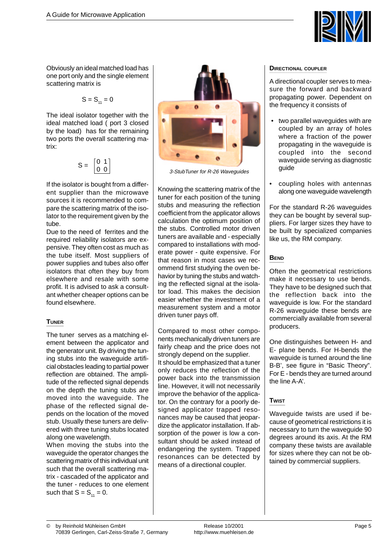

Obviously an ideal matched load has one port only and the single element scattering matrix is

$$
S = S_{11} = 0
$$

The ideal isolator together with the ideal matched load ( port 3 closed by the load) has for the remaining two ports the overall scattering matrix:

$$
S = \begin{bmatrix} 0 & 1 \\ 0 & 0 \end{bmatrix}
$$

If the isolator is bought from a different supplier than the microwave sources it is recommended to compare the scattering matrix of the isolator to the requirement given by the tube.

Due to the need of ferrites and the required reliability isolators are expensive. They often cost as much as the tube itself. Most suppliers of power supplies and tubes also offer isolators that often they buy from elsewhere and resale with some profit. It is advised to ask a consultant whether cheaper options can be found elsewhere.

## **TUNER**

The tuner serves as a matching element between the applicator and the generator unit. By driving the tuning stubs into the waveguide artificial obstacles leading to partial power reflection are obtained. The amplitude of the reflected signal depends on the depth the tuning stubs are moved into the waveguide. The phase of the reflected signal depends on the location of the moved stub. Usually these tuners are delivered with three tuning stubs located along one wavelength.

When moving the stubs into the waveguide the operator changes the scattering matrix of this individual unit such that the overall scattering matrix - cascaded of the applicator and the tuner - reduces to one element such that  $S = S_{11} = 0$ .



3-StubTuner for R-26 Waveguides

Knowing the scattering matrix of the tuner for each position of the tuning stubs and measuring the reflection coefficient from the applicator allows calculation the optimum position of the stubs. Controlled motor driven tuners are available and - especially compared to installations with moderate power - quite expensive. For that reason in most cases we recommend first studying the oven behavior by tuning the stubs and watching the reflected signal at the isolator load. This makes the decision easier whether the investment of a measurement system and a motor driven tuner pays off.

Compared to most other components mechanically driven tuners are fairly cheap and the price does not strongly depend on the supplier. It should be emphasized that a tuner only reduces the reflection of the power back into the transmission line. However, it will not necessarily improve the behavior of the applicator. On the contrary for a poorly designed applicator trapped resonances may be caused that jeopardize the applicator installation. If absorption of the power is low a consultant should be asked instead of endangering the system. Trapped resonances can be detected by means of a directional coupler.

#### **DIRECTIONAL COUPLER**

A directional coupler serves to measure the forward and backward propagating power. Dependent on the frequency it consists of

- two parallel waveguides with are coupled by an array of holes where a fraction of the power propagating in the waveguide is coupled into the second waveguide serving as diagnostic guide
- coupling holes with antennas along one waveguide wavelength

For the standard R-26 waveguides they can be bought by several suppliers. For larger sizes they have to be built by specialized companies like us, the RM company.

### **BEND**

Often the geometrical restrictions make it necessary to use bends. They have to be designed such that the reflection back into the waveguide is low. For the standard R-26 waveguide these bends are commercially available from several producers.

One distinguishes between H- and E- plane bends. For H-bends the waveguide is turned around the line B-B', see figure in "Basic Theory". For E - bends they are turned around the line A-A'.

## **TWIST**

Waveguide twists are used if because of geometrical restrictions it is necessary to turn the waveguide 90 degrees around its axis. At the RM company these twists are available for sizes where they can not be obtained by commercial suppliers.